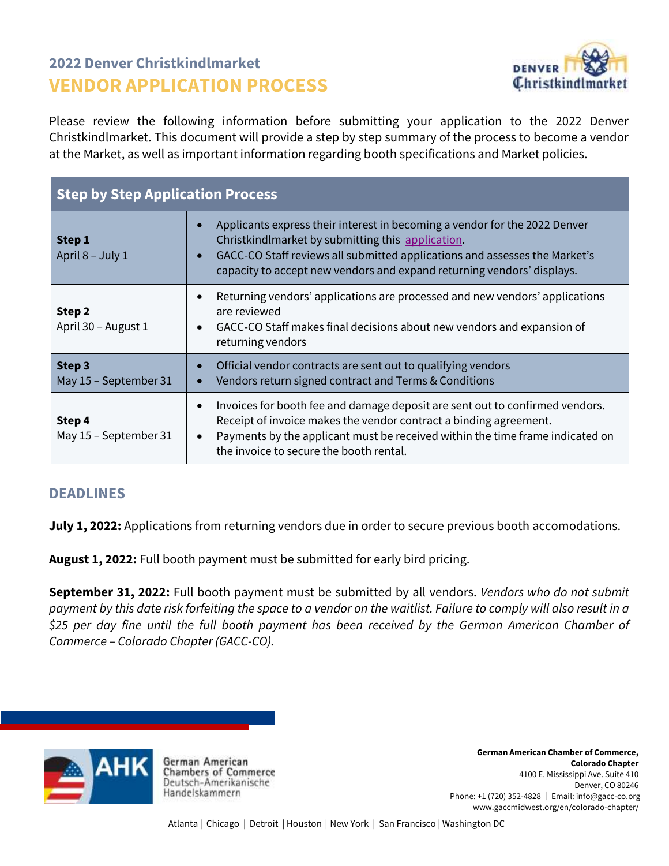# **2022 Denver Christkindlmarket VENDOR APPLICATION PROCESS**



Please review the following information before submitting your application to the 2022 Denver Christkindlmarket. This document will provide a step by step summary of the process to become a vendor at the Market, as well as important information regarding booth specifications and Market policies.

| <b>Step by Step Application Process</b> |                                                                                                                                                                                                                                                                                                         |  |
|-----------------------------------------|---------------------------------------------------------------------------------------------------------------------------------------------------------------------------------------------------------------------------------------------------------------------------------------------------------|--|
| Step 1<br>April 8 - July 1              | Applicants express their interest in becoming a vendor for the 2022 Denver<br>Christkindlmarket by submitting this application.<br>GACC-CO Staff reviews all submitted applications and assesses the Market's<br>capacity to accept new vendors and expand returning vendors' displays.                 |  |
| Step 2<br>April 30 - August 1           | Returning vendors' applications are processed and new vendors' applications<br>$\bullet$<br>are reviewed<br>GACC-CO Staff makes final decisions about new vendors and expansion of<br>$\bullet$<br>returning vendors                                                                                    |  |
| Step 3<br>May 15 - September 31         | Official vendor contracts are sent out to qualifying vendors<br>Vendors return signed contract and Terms & Conditions                                                                                                                                                                                   |  |
| Step 4<br>May 15 - September 31         | Invoices for booth fee and damage deposit are sent out to confirmed vendors.<br>$\bullet$<br>Receipt of invoice makes the vendor contract a binding agreement.<br>Payments by the applicant must be received within the time frame indicated on<br>$\bullet$<br>the invoice to secure the booth rental. |  |

### **DEADLINES**

**July 1, 2022:** Applications from returning vendors due in order to secure previous booth accomodations.

**August 1, 2022:** Full booth payment must be submitted for early bird pricing.

**September 31, 2022:** Full booth payment must be submitted by all vendors. *Vendors who do not submit payment by this date risk forfeiting the space to a vendor on the waitlist. Failure to comply will also result in a \$25 per day fine until the full booth payment has been received by the German American Chamber of Commerce – Colorado Chapter (GACC-CO).*



German American **Chambers of Commerce** Deutsch-Amerikanische Handelskammern

**German American Chamber of Commerce, Colorado Chapter** 4100 E. Mississippi Ave. Suite 410 Denver, CO 80246 Phone: +1 (720) 352-4828 │Email: info@gacc-co.org www.gaccmidwest.org/en/colorado-chapter/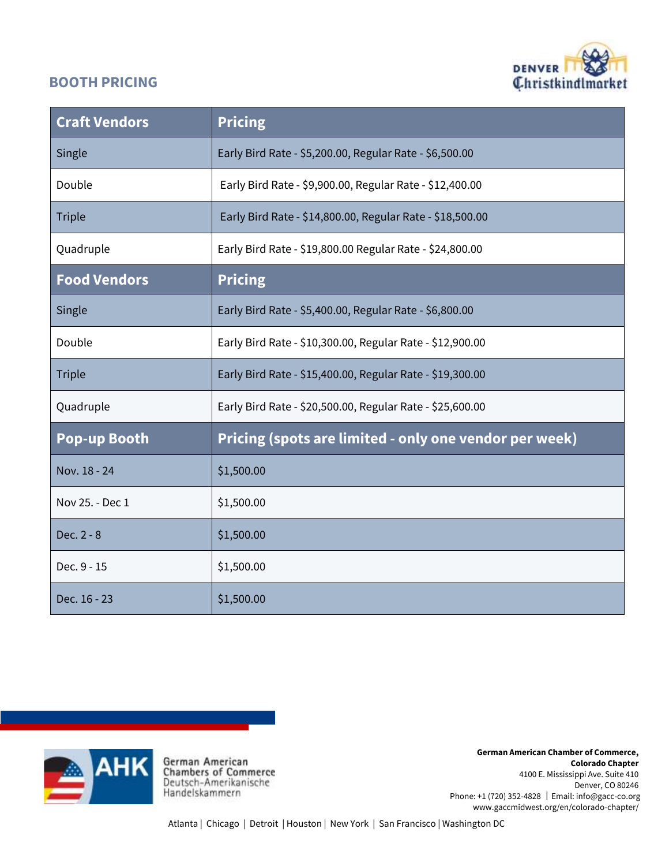## **BOOTH PRICING**



| <b>Craft Vendors</b> | <b>Pricing</b>                                            |
|----------------------|-----------------------------------------------------------|
| Single               | Early Bird Rate - \$5,200.00, Regular Rate - \$6,500.00   |
| Double               | Early Bird Rate - \$9,900.00, Regular Rate - \$12,400.00  |
| <b>Triple</b>        | Early Bird Rate - \$14,800.00, Regular Rate - \$18,500.00 |
| Quadruple            | Early Bird Rate - \$19,800.00 Regular Rate - \$24,800.00  |
| <b>Food Vendors</b>  | <b>Pricing</b>                                            |
| Single               | Early Bird Rate - \$5,400.00, Regular Rate - \$6,800.00   |
| Double               | Early Bird Rate - \$10,300.00, Regular Rate - \$12,900.00 |
| <b>Triple</b>        | Early Bird Rate - \$15,400.00, Regular Rate - \$19,300.00 |
| Quadruple            | Early Bird Rate - \$20,500.00, Regular Rate - \$25,600.00 |
| <b>Pop-up Booth</b>  | Pricing (spots are limited - only one vendor per week)    |
| Nov. 18 - 24         | \$1,500.00                                                |
| Nov 25. - Dec 1      | \$1,500.00                                                |
| Dec. 2 - 8           | \$1,500.00                                                |
| Dec. 9 - 15          | \$1,500.00                                                |
| Dec. 16 - 23         | \$1,500.00                                                |



**German American Chamber of Commerce, Colorado Chapter** 4100 E. Mississippi Ave. Suite 410 Denver, CO 80246 Phone: +1 (720) 352-4828 │Email: info@gacc-co.org www.gaccmidwest.org/en/colorado-chapter/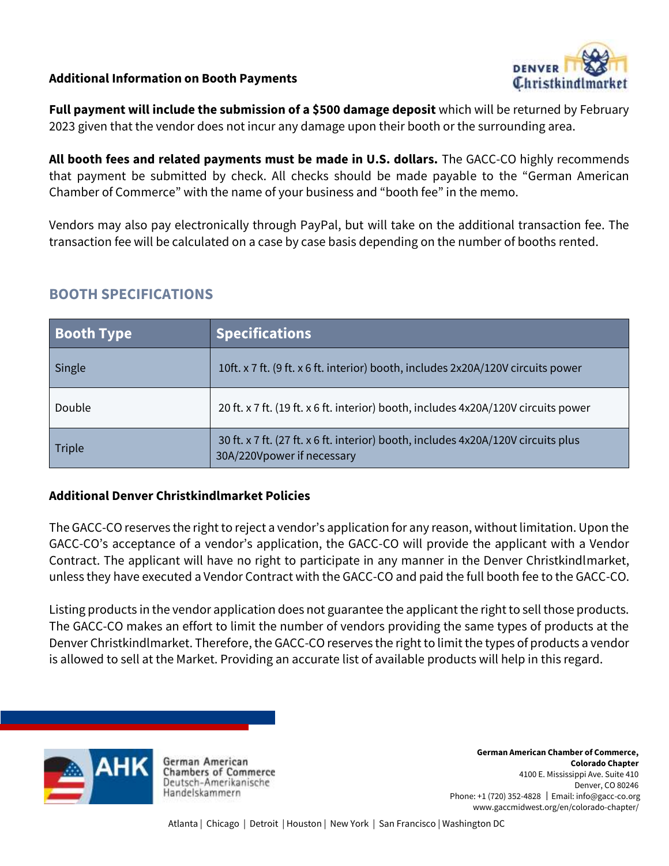### **Additional Information on Booth Payments**



**Full payment will include the submission of a \$500 damage deposit** which will be returned by February 2023 given that the vendor does not incur any damage upon their booth or the surrounding area.

**All booth fees and related payments must be made in U.S. dollars.** The GACC-CO highly recommends that payment be submitted by check. All checks should be made payable to the "German American Chamber of Commerce" with the name of your business and "booth fee" in the memo.

Vendors may also pay electronically through PayPal, but will take on the additional transaction fee. The transaction fee will be calculated on a case by case basis depending on the number of booths rented.

## **BOOTH SPECIFICATIONS**

| <b>Booth Type</b> | <b>Specifications</b>                                                                                           |
|-------------------|-----------------------------------------------------------------------------------------------------------------|
| Single            | 10ft. x 7 ft. (9 ft. x 6 ft. interior) booth, includes 2x20A/120V circuits power                                |
| Double            | 20 ft. x 7 ft. (19 ft. x 6 ft. interior) booth, includes 4x20A/120V circuits power                              |
| Triple            | 30 ft. x 7 ft. (27 ft. x 6 ft. interior) booth, includes 4x20A/120V circuits plus<br>30A/220Vpower if necessary |

#### **Additional Denver Christkindlmarket Policies**

The GACC-CO reserves the right to reject a vendor's application for any reason, without limitation. Upon the GACC-CO's acceptance of a vendor's application, the GACC-CO will provide the applicant with a Vendor Contract. The applicant will have no right to participate in any manner in the Denver Christkindlmarket, unless they have executed a Vendor Contract with the GACC-CO and paid the full booth fee to the GACC-CO.

Listing products in the vendor application does not guarantee the applicant the right to sell those products. The GACC-CO makes an effort to limit the number of vendors providing the same types of products at the Denver Christkindlmarket. Therefore, the GACC-CO reserves the right to limit the types of products a vendor is allowed to sell at the Market. Providing an accurate list of available products will help in this regard.



German American **Chambers of Commerce** Deutsch-Amerikanische Handelskammern

**German American Chamber of Commerce, Colorado Chapter** 4100 E. Mississippi Ave. Suite 410 Denver, CO 80246 Phone: +1 (720) 352-4828 │Email: info@gacc-co.org www.gaccmidwest.org/en/colorado-chapter/